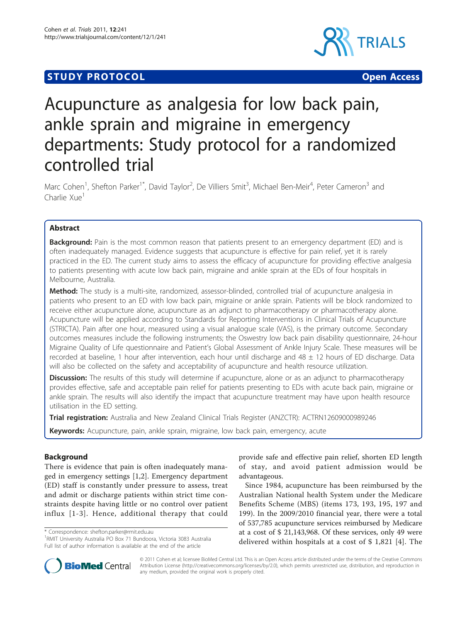## **STUDY PROTOCOL CONSUMING THE CONSUMING OPEN ACCESS**



# Acupuncture as analgesia for low back pain, ankle sprain and migraine in emergency departments: Study protocol for a randomized controlled trial

Marc Cohen<sup>1</sup>, Shefton Parker<sup>1\*</sup>, David Taylor<sup>2</sup>, De Villiers Smit<sup>3</sup>, Michael Ben-Meir<sup>4</sup>, Peter Cameron<sup>3</sup> and Charlie Xue<sup>1</sup>

## Abstract

Background: Pain is the most common reason that patients present to an emergency department (ED) and is often inadequately managed. Evidence suggests that acupuncture is effective for pain relief, yet it is rarely practiced in the ED. The current study aims to assess the efficacy of acupuncture for providing effective analgesia to patients presenting with acute low back pain, migraine and ankle sprain at the EDs of four hospitals in Melbourne, Australia.

Method: The study is a multi-site, randomized, assessor-blinded, controlled trial of acupuncture analgesia in patients who present to an ED with low back pain, migraine or ankle sprain. Patients will be block randomized to receive either acupuncture alone, acupuncture as an adjunct to pharmacotherapy or pharmacotherapy alone. Acupuncture will be applied according to Standards for Reporting Interventions in Clinical Trials of Acupuncture (STRICTA). Pain after one hour, measured using a visual analogue scale (VAS), is the primary outcome. Secondary outcomes measures include the following instruments; the Oswestry low back pain disability questionnaire, 24-hour Migraine Quality of Life questionnaire and Patient's Global Assessment of Ankle Injury Scale. These measures will be recorded at baseline, 1 hour after intervention, each hour until discharge and 48 ± 12 hours of ED discharge. Data will also be collected on the safety and acceptability of acupuncture and health resource utilization.

**Discussion:** The results of this study will determine if acupuncture, alone or as an adjunct to pharmacotherapy provides effective, safe and acceptable pain relief for patients presenting to EDs with acute back pain, migraine or ankle sprain. The results will also identify the impact that acupuncture treatment may have upon health resource utilisation in the ED setting.

Trial registration: Australia and New Zealand Clinical Trials Register (ANZCTR): [ACTRN12609000989246](http://www.anzctr.org.au/ACTRN12609000989246.aspx)

Keywords: Acupuncture, pain, ankle sprain, migraine, low back pain, emergency, acute

## Background

There is evidence that pain is often inadequately managed in emergency settings [\[1](#page-6-0),[2\]](#page-6-0). Emergency department (ED) staff is constantly under pressure to assess, treat and admit or discharge patients within strict time constraints despite having little or no control over patient influx [[1](#page-6-0)-[3](#page-6-0)]. Hence, additional therapy that could

\* Correspondence: [shefton.parker@rmit.edu.au](mailto:shefton.parker@rmit.edu.au)

<sup>1</sup>RMIT University Australia PO Box 71 Bundoora, Victoria 3083 Australia Full list of author information is available at the end of the article



Since 1984, acupuncture has been reimbursed by the Australian National health System under the Medicare Benefits Scheme (MBS) (items 173, 193, 195, 197 and 199). In the 2009/2010 financial year, there were a total of 537,785 acupuncture services reimbursed by Medicare at a cost of \$ 21,143,968. Of these services, only 49 were delivered within hospitals at a cost of \$ 1,821 [[4\]](#page-6-0). The



© 2011 Cohen et al; licensee BioMed Central Ltd. This is an Open Access article distributed under the terms of the Creative Commons Attribution License [\(http://creativecommons.org/licenses/by/2.0](http://creativecommons.org/licenses/by/2.0)), which permits unrestricted use, distribution, and reproduction in any medium, provided the original work is properly cited.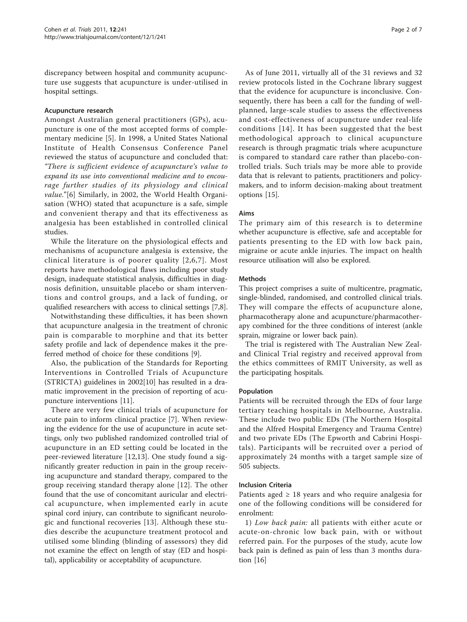discrepancy between hospital and community acupuncture use suggests that acupuncture is under-utilised in hospital settings.

## Acupuncture research

Amongst Australian general practitioners (GPs), acupuncture is one of the most accepted forms of complementary medicine [[5\]](#page-6-0). In 1998, a United States National Institute of Health Consensus Conference Panel reviewed the status of acupuncture and concluded that: "There is sufficient evidence of acupuncture's value to expand its use into conventional medicine and to encourage further studies of its physiology and clinical value."[\[6](#page-6-0)] Similarly, in 2002, the World Health Organisation (WHO) stated that acupuncture is a safe, simple and convenient therapy and that its effectiveness as analgesia has been established in controlled clinical studies.

While the literature on the physiological effects and mechanisms of acupuncture analgesia is extensive, the clinical literature is of poorer quality [[2,6,7\]](#page-6-0). Most reports have methodological flaws including poor study design, inadequate statistical analysis, difficulties in diagnosis definition, unsuitable placebo or sham interventions and control groups, and a lack of funding, or qualified researchers with access to clinical settings [\[7,8](#page-6-0)].

Notwithstanding these difficulties, it has been shown that acupuncture analgesia in the treatment of chronic pain is comparable to morphine and that its better safety profile and lack of dependence makes it the preferred method of choice for these conditions [[9\]](#page-6-0).

Also, the publication of the Standards for Reporting Interventions in Controlled Trials of Acupuncture (STRICTA) guidelines in 2002[[10\]](#page-6-0) has resulted in a dramatic improvement in the precision of reporting of acupuncture interventions [\[11](#page-6-0)].

There are very few clinical trials of acupuncture for acute pain to inform clinical practice [[7\]](#page-6-0). When reviewing the evidence for the use of acupuncture in acute settings, only two published randomized controlled trial of acupuncture in an ED setting could be located in the peer-reviewed literature [[12,13\]](#page-6-0). One study found a significantly greater reduction in pain in the group receiving acupuncture and standard therapy, compared to the group receiving standard therapy alone [\[12](#page-6-0)]. The other found that the use of concomitant auricular and electrical acupuncture, when implemented early in acute spinal cord injury, can contribute to significant neurologic and functional recoveries [[13\]](#page-6-0). Although these studies describe the acupuncture treatment protocol and utilised some blinding (blinding of assessors) they did not examine the effect on length of stay (ED and hospital), applicability or acceptability of acupuncture.

As of June 2011, virtually all of the 31 reviews and 32 review protocols listed in the Cochrane library suggest that the evidence for acupuncture is inconclusive. Consequently, there has been a call for the funding of wellplanned, large-scale studies to assess the effectiveness and cost-effectiveness of acupuncture under real-life conditions [[14\]](#page-6-0). It has been suggested that the best methodological approach to clinical acupuncture research is through pragmatic trials where acupuncture is compared to standard care rather than placebo-controlled trials. Such trials may be more able to provide data that is relevant to patients, practitioners and policymakers, and to inform decision-making about treatment options [\[15](#page-6-0)].

## Aims

The primary aim of this research is to determine whether acupuncture is effective, safe and acceptable for patients presenting to the ED with low back pain, migraine or acute ankle injuries. The impact on health resource utilisation will also be explored.

## Methods

This project comprises a suite of multicentre, pragmatic, single-blinded, randomised, and controlled clinical trials. They will compare the effects of acupuncture alone, pharmacotherapy alone and acupuncture/pharmacotherapy combined for the three conditions of interest (ankle sprain, migraine or lower back pain).

The trial is registered with The Australian New Zealand Clinical Trial registry and received approval from the ethics committees of RMIT University, as well as the participating hospitals.

## Population

Patients will be recruited through the EDs of four large tertiary teaching hospitals in Melbourne, Australia. These include two public EDs (The Northern Hospital and the Alfred Hospital Emergency and Trauma Centre) and two private EDs (The Epworth and Cabrini Hospitals). Participants will be recruited over a period of approximately 24 months with a target sample size of 505 subjects.

## Inclusion Criteria

Patients aged  $\geq$  18 years and who require analgesia for one of the following conditions will be considered for enrolment:

1) Low back pain: all patients with either acute or acute-on-chronic low back pain, with or without referred pain. For the purposes of the study, acute low back pain is defined as pain of less than 3 months duration [\[16](#page-6-0)]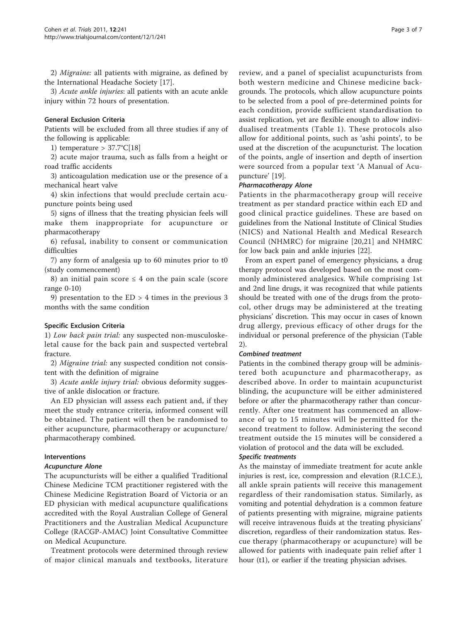2) Migraine: all patients with migraine, as defined by the International Headache Society [\[17\]](#page-6-0).

3) Acute ankle injuries: all patients with an acute ankle injury within 72 hours of presentation.

### General Exclusion Criteria

Patients will be excluded from all three studies if any of the following is applicable:

1) temperature  $> 37.7^{\circ}C[18]$  $> 37.7^{\circ}C[18]$ 

2) acute major trauma, such as falls from a height or road traffic accidents

3) anticoagulation medication use or the presence of a mechanical heart valve

4) skin infections that would preclude certain acupuncture points being used

5) signs of illness that the treating physician feels will make them inappropriate for acupuncture or pharmacotherapy

6) refusal, inability to consent or communication difficulties

7) any form of analgesia up to 60 minutes prior to t0 (study commencement)

8) an initial pain score  $\leq$  4 on the pain scale (score range 0-10)

9) presentation to the ED > 4 times in the previous 3 months with the same condition

## Specific Exclusion Criteria

1) Low back pain trial: any suspected non-musculoskeletal cause for the back pain and suspected vertebral fracture.

2) Migraine trial: any suspected condition not consistent with the definition of migraine

3) Acute ankle injury trial: obvious deformity suggestive of ankle dislocation or fracture.

An ED physician will assess each patient and, if they meet the study entrance criteria, informed consent will be obtained. The patient will then be randomised to either acupuncture, pharmacotherapy or acupuncture/ pharmacotherapy combined.

#### Interventions

#### Acupuncture Alone

The acupuncturists will be either a qualified Traditional Chinese Medicine TCM practitioner registered with the Chinese Medicine Registration Board of Victoria or an ED physician with medical acupuncture qualifications accredited with the Royal Australian College of General Practitioners and the Australian Medical Acupuncture College (RACGP-AMAC) Joint Consultative Committee on Medical Acupuncture.

Treatment protocols were determined through review of major clinical manuals and textbooks, literature review, and a panel of specialist acupuncturists from both western medicine and Chinese medicine backgrounds. The protocols, which allow acupuncture points to be selected from a pool of pre-determined points for each condition, provide sufficient standardisation to assist replication, yet are flexible enough to allow individualised treatments (Table [1](#page-3-0)). These protocols also allow for additional points, such as 'ashi points', to be used at the discretion of the acupuncturist. The location of the points, angle of insertion and depth of insertion were sourced from a popular text 'A Manual of Acupuncture' [[19\]](#page-6-0).

#### Pharmacotherapy Alone

Patients in the pharmacotherapy group will receive treatment as per standard practice within each ED and good clinical practice guidelines. These are based on guidelines from the National Institute of Clinical Studies (NICS) and National Health and Medical Research Council (NHMRC) for migraine [\[20,21\]](#page-6-0) and NHMRC for low back pain and ankle injuries [\[22](#page-6-0)].

From an expert panel of emergency physicians, a drug therapy protocol was developed based on the most commonly administered analgesics. While comprising 1st and 2nd line drugs, it was recognized that while patients should be treated with one of the drugs from the protocol, other drugs may be administered at the treating physicians' discretion. This may occur in cases of known drug allergy, previous efficacy of other drugs for the individual or personal preference of the physician (Table [2\)](#page-3-0).

#### Combined treatment

Patients in the combined therapy group will be administered both acupuncture and pharmacotherapy, as described above. In order to maintain acupuncturist blinding, the acupuncture will be either administered before or after the pharmacotherapy rather than concurrently. After one treatment has commenced an allowance of up to 15 minutes will be permitted for the second treatment to follow. Administering the second treatment outside the 15 minutes will be considered a violation of protocol and the data will be excluded.

#### Specific treatments

As the mainstay of immediate treatment for acute ankle injuries is rest, ice, compression and elevation (R.I.C.E.), all ankle sprain patients will receive this management regardless of their randomisation status. Similarly, as vomiting and potential dehydration is a common feature of patients presenting with migraine, migraine patients will receive intravenous fluids at the treating physicians' discretion, regardless of their randomization status. Rescue therapy (pharmacotherapy or acupuncture) will be allowed for patients with inadequate pain relief after 1 hour (t1), or earlier if the treating physician advises.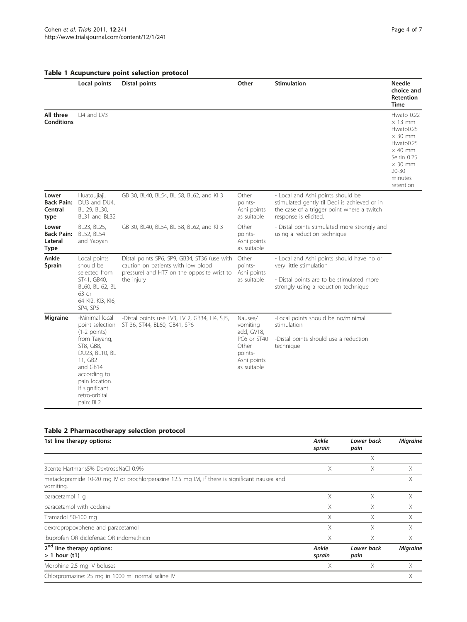<span id="page-3-0"></span>

|  |  | Table 1 Acupuncture point selection protocol |  |  |  |
|--|--|----------------------------------------------|--|--|--|
|--|--|----------------------------------------------|--|--|--|

|                                                      | Local points                                                                                                                                                                                                 | Distal points                                                                                                                                  | Other                                                                                              | <b>Stimulation</b>                                                                                                                                        | <b>Needle</b><br>choice and<br><b>Retention</b><br><b>Time</b>                                                                                                   |
|------------------------------------------------------|--------------------------------------------------------------------------------------------------------------------------------------------------------------------------------------------------------------|------------------------------------------------------------------------------------------------------------------------------------------------|----------------------------------------------------------------------------------------------------|-----------------------------------------------------------------------------------------------------------------------------------------------------------|------------------------------------------------------------------------------------------------------------------------------------------------------------------|
| All three<br><b>Conditions</b>                       | LI4 and LV3                                                                                                                                                                                                  |                                                                                                                                                |                                                                                                    |                                                                                                                                                           | Hwato 0.22<br>$\times$ 13 mm<br>Hwato0.25<br>$\times$ 30 mm<br>Hwato0.25<br>$\times$ 40 mm<br>Seirin 0.25<br>$\times$ 30 mm<br>$20 - 30$<br>minutes<br>retention |
| Lower<br><b>Back Pain:</b><br>Central<br>type        | Huatoujiaji,<br>DU3 and DU4,<br>BL 29, BL30,<br>BL31 and BL32                                                                                                                                                | GB 30, BL40, BL54, BL 58, BL62, and KI 3                                                                                                       | Other<br>points-<br>Ashi points<br>as suitable                                                     | - Local and Ashi points should be<br>stimulated gently til Degi is achieved or in<br>the case of a trigger point where a twitch<br>response is elicited.  |                                                                                                                                                                  |
| Lower<br><b>Back Pain:</b><br>Lateral<br><b>Type</b> | BL23, BL25,<br>BL52, BL54<br>and Yaoyan                                                                                                                                                                      | GB 30, BL40, BL54, BL 58, BL62, and KI 3                                                                                                       | Other<br>points-<br>Ashi points<br>as suitable                                                     | - Distal points stimulated more strongly and<br>using a reduction technique                                                                               |                                                                                                                                                                  |
| Ankle<br>Sprain                                      | Local points<br>should be<br>selected from<br>ST41, GB40,<br>BL60, BL 62, BL<br>63 or<br>64 KI2, KI3, KI6,<br>SP4, SP5                                                                                       | Distal points SP6, SP9, GB34, ST36 (use with<br>caution on patients with low blood<br>pressure) and HT7 on the opposite wrist to<br>the injury | Other<br>points-<br>Ashi points<br>as suitable                                                     | - Local and Ashi points should have no or<br>very little stimulation<br>- Distal points are to be stimulated more<br>strongly using a reduction technique |                                                                                                                                                                  |
| <b>Migraine</b>                                      | -Minimal local<br>point selection<br>$(1-2$ points)<br>from Taiyang,<br>ST8, GB8,<br>DU23, BL10, BL<br>11, GB2<br>and GB14<br>according to<br>pain location.<br>If significant<br>retro-orbital<br>pain: BL2 | -Distal points use LV3, LV 2, GB34, LI4, SJ5,<br>ST 36, ST44, BL60, GB41, SP6                                                                  | Nausea/<br>vomiting<br>add, GV18,<br>PC6 or ST40<br>Other<br>points-<br>Ashi points<br>as suitable | -Local points should be no/minimal<br>stimulation<br>-Distal points should use a reduction<br>technique                                                   |                                                                                                                                                                  |

## Table 2 Pharmacotherapy selection protocol

| 1st line therapy options:                                                                                  | Ankle<br>sprain | Lower back<br>pain | <b>Migraine</b> |
|------------------------------------------------------------------------------------------------------------|-----------------|--------------------|-----------------|
|                                                                                                            |                 | Χ                  |                 |
| 3centerHartmans5% DextroseNaCl 0.9%                                                                        | X               | X.                 | X               |
| metaclopramide 10-20 mg IV or prochlorperazine 12.5 mg IM, if there is significant nausea and<br>vomiting. |                 |                    | X               |
| paracetamol 1 q                                                                                            | X               | X.                 | X               |
| paracetamol with codeine                                                                                   | X               | Χ                  | X               |
| Tramadol 50-100 mg                                                                                         | X               | X.                 | X               |
| dextropropoxphene and paracetamol                                                                          | X               | X.                 | X               |
| ibuprofen OR diclofenac OR indomethicin                                                                    | X               | X.                 | X               |
| 2 <sup>nd</sup> line therapy options:<br>$> 1$ hour (t1)                                                   | Ankle<br>sprain | Lower back<br>pain | <b>Migraine</b> |
| Morphine 2.5 mg IV boluses                                                                                 | X               | X.                 | X               |
| Chlorpromazine: 25 mg in 1000 ml normal saline IV                                                          |                 |                    | X               |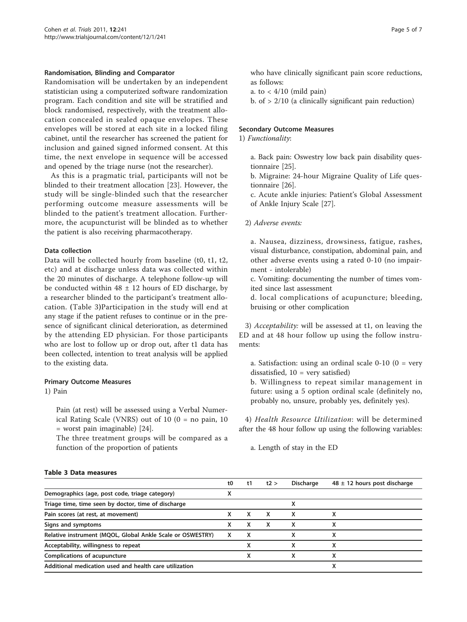#### Randomisation, Blinding and Comparator

Randomisation will be undertaken by an independent statistician using a computerized software randomization program. Each condition and site will be stratified and block randomised, respectively, with the treatment allocation concealed in sealed opaque envelopes. These envelopes will be stored at each site in a locked filing cabinet, until the researcher has screened the patient for inclusion and gained signed informed consent. At this time, the next envelope in sequence will be accessed and opened by the triage nurse (not the researcher).

As this is a pragmatic trial, participants will not be blinded to their treatment allocation [\[23](#page-6-0)]. However, the study will be single-blinded such that the researcher performing outcome measure assessments will be blinded to the patient's treatment allocation. Furthermore, the acupuncturist will be blinded as to whether the patient is also receiving pharmacotherapy.

## Data collection

Data will be collected hourly from baseline (t0, t1, t2, etc) and at discharge unless data was collected within the 20 minutes of discharge. A telephone follow-up will be conducted within  $48 \pm 12$  hours of ED discharge, by a researcher blinded to the participant's treatment allocation. (Table 3)Participation in the study will end at any stage if the patient refuses to continue or in the presence of significant clinical deterioration, as determined by the attending ED physician. For those participants who are lost to follow up or drop out, after t1 data has been collected, intention to treat analysis will be applied to the existing data.

#### Primary Outcome Measures

1) Pain

Pain (at rest) will be assessed using a Verbal Numerical Rating Scale (VNRS) out of 10 (0 = no pain, 10 = worst pain imaginable) [[24](#page-6-0)].

The three treatment groups will be compared as a function of the proportion of patients

who have clinically significant pain score reductions, as follows:

a. to  $<$  4/10 (mild pain)

b. of  $> 2/10$  (a clinically significant pain reduction)

## Secondary Outcome Measures

1) Functionality:

a. Back pain: Oswestry low back pain disability questionnaire [[25](#page-6-0)].

b. Migraine: 24-hour Migraine Quality of Life questionnaire [[26](#page-6-0)].

c. Acute ankle injuries: Patient's Global Assessment of Ankle Injury Scale [[27\]](#page-6-0).

2) Adverse events:

a. Nausea, dizziness, drowsiness, fatigue, rashes, visual disturbance, constipation, abdominal pain, and other adverse events using a rated 0-10 (no impairment - intolerable)

c. Vomiting: documenting the number of times vomited since last assessment

d. local complications of acupuncture; bleeding, bruising or other complication

3) Acceptability: will be assessed at t1, on leaving the ED and at 48 hour follow up using the follow instruments:

a. Satisfaction: using an ordinal scale  $0-10$  ( $0 = \text{very}$ ) dissatisfied,  $10 = \text{very satisfied}$ 

b. Willingness to repeat similar management in future: using a 5 option ordinal scale (definitely no, probably no, unsure, probably yes, definitely yes).

4) Health Resource Utilization: will be determined after the 48 hour follow up using the following variables:

a. Length of stay in the ED

## Table 3 Data measures

|                                                            | t0 | t1 | t2 > | <b>Discharge</b> | $48 \pm 12$ hours post discharge |
|------------------------------------------------------------|----|----|------|------------------|----------------------------------|
| Demographics (age, post code, triage category)             | ⋏  |    |      |                  |                                  |
| Triage time, time seen by doctor, time of discharge        |    |    |      |                  |                                  |
| Pain scores (at rest, at movement)                         | x  | X  | x    | x                |                                  |
| Signs and symptoms                                         | x  | x  | x    | x                | x                                |
| Relative instrument (MQOL, Global Ankle Scale or OSWESTRY) | x  | X  |      |                  | x                                |
| Acceptability, willingness to repeat                       |    | x  |      | x                | x                                |
| Complications of acupuncture                               |    | х  |      | x                | x                                |
| Additional medication used and health care utilization     |    |    |      |                  |                                  |
|                                                            |    |    |      |                  |                                  |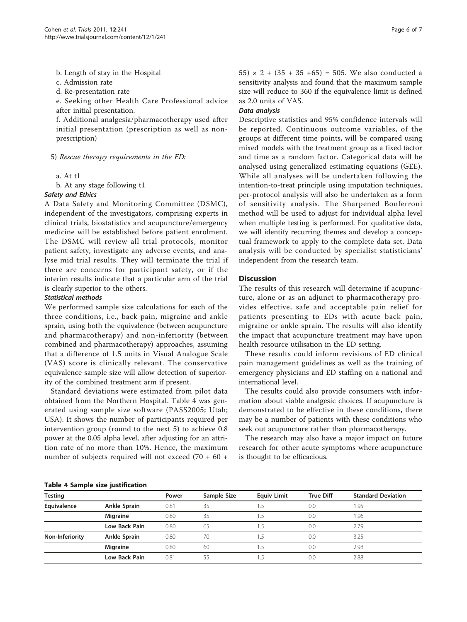b. Length of stay in the Hospital

c. Admission rate

d. Re-presentation rate

e. Seeking other Health Care Professional advice after initial presentation.

f. Additional analgesia/pharmacotherapy used after initial presentation (prescription as well as nonprescription)

5) Rescue therapy requirements in the ED:

a. At t1

b. At any stage following t1

#### Safety and Ethics

A Data Safety and Monitoring Committee (DSMC), independent of the investigators, comprising experts in clinical trials, biostatistics and acupuncture/emergency medicine will be established before patient enrolment. The DSMC will review all trial protocols, monitor patient safety, investigate any adverse events, and analyse mid trial results. They will terminate the trial if there are concerns for participant safety, or if the interim results indicate that a particular arm of the trial is clearly superior to the others.

## Statistical methods

We performed sample size calculations for each of the three conditions, i.e., back pain, migraine and ankle sprain, using both the equivalence (between acupuncture and pharmacotherapy) and non-inferiority (between combined and pharmacotherapy) approaches, assuming that a difference of 1.5 units in Visual Analogue Scale (VAS) score is clinically relevant. The conservative equivalence sample size will allow detection of superiority of the combined treatment arm if present.

Standard deviations were estimated from pilot data obtained from the Northern Hospital. Table 4 was generated using sample size software (PASS2005; Utah; USA). It shows the number of participants required per intervention group (round to the next 5) to achieve 0.8 power at the 0.05 alpha level, after adjusting for an attrition rate of no more than 10%. Hence, the maximum number of subjects required will not exceed (70 + 60 + 55)  $\times$  2 + (35 + 35 +65) = 505. We also conducted a sensitivity analysis and found that the maximum sample size will reduce to 360 if the equivalence limit is defined as 2.0 units of VAS.

#### Data analysis

Descriptive statistics and 95% confidence intervals will be reported. Continuous outcome variables, of the groups at different time points, will be compared using mixed models with the treatment group as a fixed factor and time as a random factor. Categorical data will be analysed using generalized estimating equations (GEE). While all analyses will be undertaken following the intention-to-treat principle using imputation techniques, per-protocol analysis will also be undertaken as a form of sensitivity analysis. The Sharpened Bonferroni method will be used to adjust for individual alpha level when multiple testing is performed. For qualitative data, we will identify recurring themes and develop a conceptual framework to apply to the complete data set. Data analysis will be conducted by specialist statisticians' independent from the research team.

## **Discussion**

The results of this research will determine if acupuncture, alone or as an adjunct to pharmacotherapy provides effective, safe and acceptable pain relief for patients presenting to EDs with acute back pain, migraine or ankle sprain. The results will also identify the impact that acupuncture treatment may have upon health resource utilisation in the ED setting.

These results could inform revisions of ED clinical pain management guidelines as well as the training of emergency physicians and ED staffing on a national and international level.

The results could also provide consumers with information about viable analgesic choices. If acupuncture is demonstrated to be effective in these conditions, there may be a number of patients with these conditions who seek out acupuncture rather than pharmacotherapy.

The research may also have a major impact on future research for other acute symptoms where acupuncture is thought to be efficacious.

#### Table 4 Sample size justification

| <b>Testing</b>  |                 | Power | Sample Size | <b>Equiv Limit</b> | <b>True Diff</b> | <b>Standard Deviation</b> |
|-----------------|-----------------|-------|-------------|--------------------|------------------|---------------------------|
| Equivalence     | Ankle Sprain    | 0.81  | 35          |                    | 0.0              | 1.95                      |
|                 | <b>Migraine</b> | 0.80  | 35          |                    | 0.0              | 1.96                      |
|                 | Low Back Pain   | 0.80  | 65          |                    | 0.0              | 2.79                      |
| Non-Inferiority | Ankle Sprain    | 0.80  | 70          | 15                 | 0.0              | 3.25                      |
|                 | <b>Migraine</b> | 0.80  | 60          |                    | 0.0              | 2.98                      |
|                 | Low Back Pain   | 0.81  | 55          |                    | 0.0              | 2.88                      |